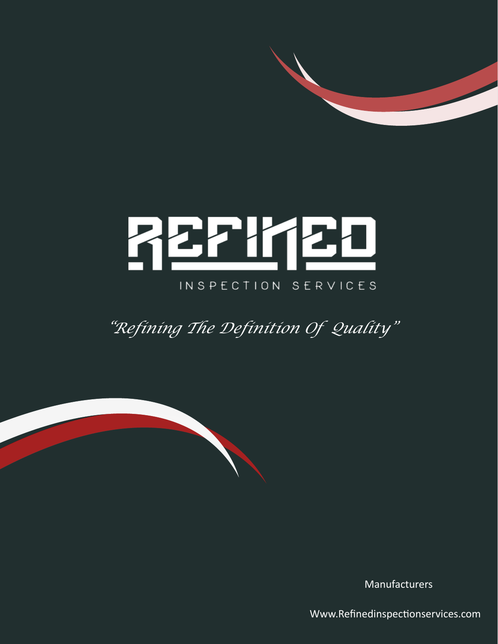# <u> ZEPI (20</u> INSPECTION SERVICES

*"Refining The Definition Of Quality"*

Manufacturers

Www.Refinedinspectionservices.com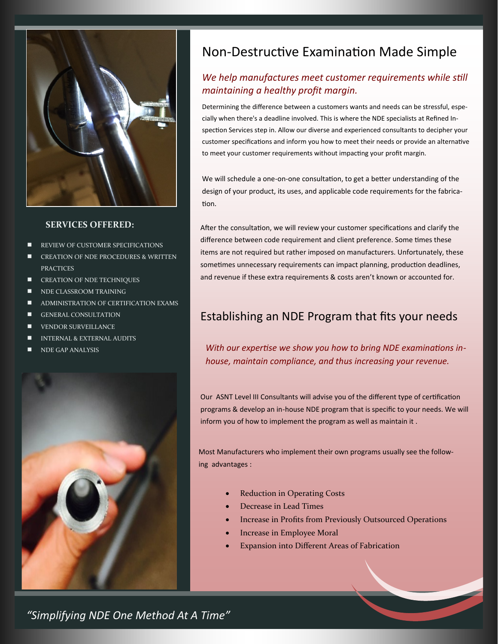

#### **SERVICES OFFERED:**

- REVIEW OF CUSTOMER SPECIFICATIONS
- CREATION OF NDE PROCEDURES & WRITTEN **PRACTICES**
- CREATION OF NDE TECHNIQUES
- NDE CLASSROOM TRAINING
- ADMINISTRATION OF CERTIFICATION EXAMS
- GENERAL CONSULTATION
- VENDOR SURVEILLANCE
- INTERNAL & EXTERNAL AUDITS
- NDE GAP ANALYSIS



# Non-Destructive Examination Made Simple

## *We help manufactures meet customer requirements while still maintaining a healthy profit margin.*

Determining the difference between a customers wants and needs can be stressful, especially when there's a deadline involved. This is where the NDE specialists at Refined Inspection Services step in. Allow our diverse and experienced consultants to decipher your customer specifications and inform you how to meet their needs or provide an alternative to meet your customer requirements without impacting your profit margin.

We will schedule a one-on-one consultation, to get a better understanding of the design of your product, its uses, and applicable code requirements for the fabrication.

After the consultation, we will review your customer specifications and clarify the difference between code requirement and client preference. Some times these items are not required but rather imposed on manufacturers. Unfortunately, these sometimes unnecessary requirements can impact planning, production deadlines, and revenue if these extra requirements & costs aren't known or accounted for.

# Establishing an NDE Program that fits your needs

*With our expertise we show you how to bring NDE examinations inhouse, maintain compliance, and thus increasing your revenue.*

Our ASNT Level III Consultants will advise you of the different type of certification programs & develop an in-house NDE program that is specific to your needs. We will inform you of how to implement the program as well as maintain it .

Most Manufacturers who implement their own programs usually see the following advantages :

- **Reduction in Operating Costs**
- Decrease in Lead Times
- Increase in Profits from Previously Outsourced Operations
- Increase in Employee Moral
- Expansion into Different Areas of Fabrication

*"Simplifying NDE One Method At A Time"*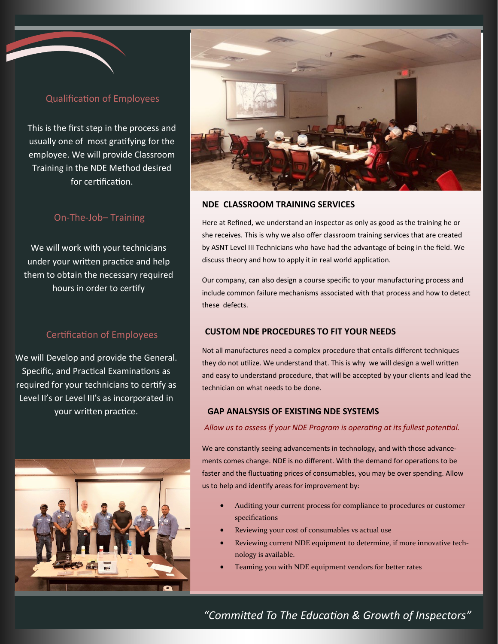## Qualification of Employees

This is the first step in the process and usually one of most gratifying for the employee. We will provide Classroom Training in the NDE Method desired for certification.

#### On-The-Job– Training

We will work with your technicians under your written practice and help them to obtain the necessary required hours in order to certify

### Certification of Employees

We will Develop and provide the General. Specific, and Practical Examinations as required for your technicians to certify as Level II's or Level III's as incorporated in your written practice.





#### **NDE CLASSROOM TRAINING SERVICES**

Here at Refined, we understand an inspector as only as good as the training he or she receives. This is why we also offer classroom training services that are created by ASNT Level III Technicians who have had the advantage of being in the field. We discuss theory and how to apply it in real world application.

Our company, can also design a course specific to your manufacturing process and include common failure mechanisms associated with that process and how to detect these defects.

#### **CUSTOM NDE PROCEDURES TO FIT YOUR NEEDS**

Not all manufactures need a complex procedure that entails different techniques they do not utilize. We understand that. This is why we will design a well written and easy to understand procedure, that will be accepted by your clients and lead the technician on what needs to be done.

#### **GAP ANALSYSIS OF EXISTING NDE SYSTEMS**

*Allow us to assess if your NDE Program is operating at its fullest potential.*

We are constantly seeing advancements in technology, and with those advancements comes change. NDE is no different. With the demand for operations to be faster and the fluctuating prices of consumables, you may be over spending. Allow us to help and identify areas for improvement by:

- Auditing your current process for compliance to procedures or customer specifications
- Reviewing your cost of consumables vs actual use
- Reviewing current NDE equipment to determine, if more innovative technology is available.
- Teaming you with NDE equipment vendors for better rates

*"Committed To The Education & Growth of Inspectors"*